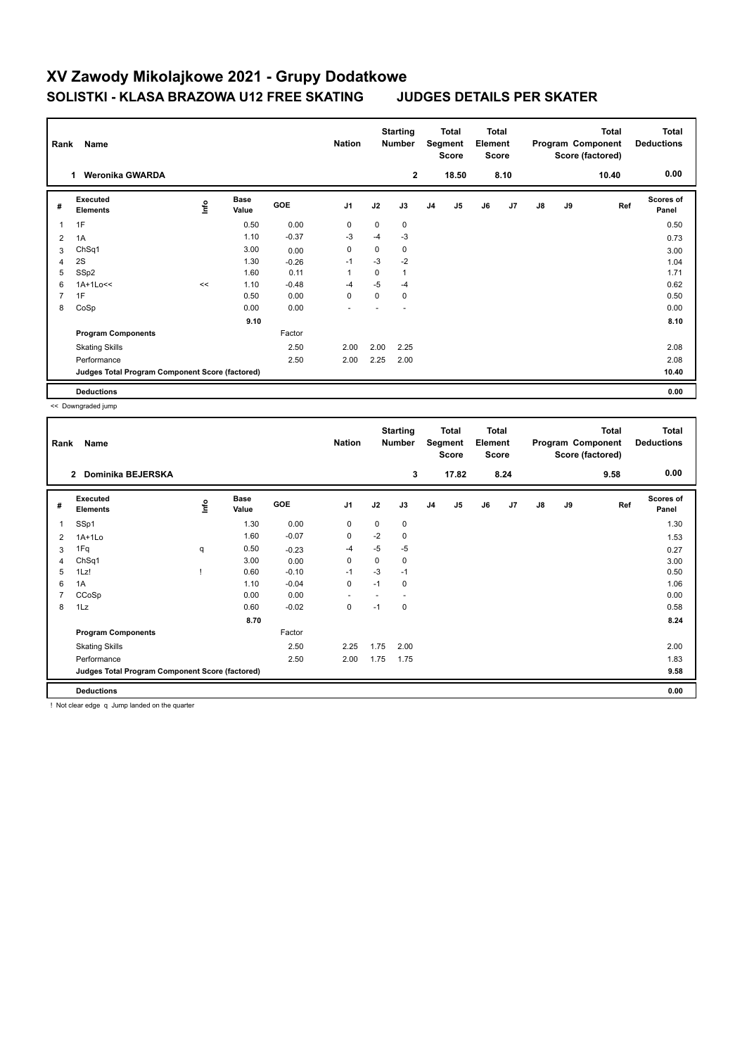## **XV Zawody Mikolajkowe 2021 - Grupy Dodatkowe SOLISTKI - KLASA BRAZOWA U12 FREE SKATING JUDGES DETAILS PER SKATER**

| Rank           | Name                                            |      |                      |            | <b>Nation</b>  |      | <b>Starting</b><br><b>Number</b> |                | Total<br>Segment<br><b>Score</b> | <b>Total</b><br>Element<br><b>Score</b> |      |               |    | Total<br>Program Component<br>Score (factored) | <b>Total</b><br><b>Deductions</b> |
|----------------|-------------------------------------------------|------|----------------------|------------|----------------|------|----------------------------------|----------------|----------------------------------|-----------------------------------------|------|---------------|----|------------------------------------------------|-----------------------------------|
|                | <b>Weronika GWARDA</b><br>1.                    |      |                      |            |                |      | $\mathbf{2}$                     |                | 18.50                            |                                         | 8.10 |               |    | 10.40                                          | 0.00                              |
| #              | Executed<br><b>Elements</b>                     | ١nf٥ | <b>Base</b><br>Value | <b>GOE</b> | J <sub>1</sub> | J2   | J3                               | J <sub>4</sub> | J5                               | J6                                      | J7   | $\mathsf{J}8$ | J9 | Ref                                            | <b>Scores of</b><br>Panel         |
| $\mathbf{1}$   | 1F                                              |      | 0.50                 | 0.00       | $\mathbf 0$    | 0    | 0                                |                |                                  |                                         |      |               |    |                                                | 0.50                              |
| 2              | 1A                                              |      | 1.10                 | $-0.37$    | -3             | $-4$ | $-3$                             |                |                                  |                                         |      |               |    |                                                | 0.73                              |
| 3              | ChSq1                                           |      | 3.00                 | 0.00       | $\mathbf 0$    | 0    | 0                                |                |                                  |                                         |      |               |    |                                                | 3.00                              |
| $\overline{4}$ | 2S                                              |      | 1.30                 | $-0.26$    | $-1$           | $-3$ | $-2$                             |                |                                  |                                         |      |               |    |                                                | 1.04                              |
| 5              | SSp2                                            |      | 1.60                 | 0.11       | $\mathbf{1}$   | 0    | 1                                |                |                                  |                                         |      |               |    |                                                | 1.71                              |
| 6              | $1A+1Lo<<$                                      | <<   | 1.10                 | $-0.48$    | $-4$           | $-5$ | $-4$                             |                |                                  |                                         |      |               |    |                                                | 0.62                              |
| $\overline{7}$ | 1F                                              |      | 0.50                 | 0.00       | 0              | 0    | 0                                |                |                                  |                                         |      |               |    |                                                | 0.50                              |
| 8              | CoSp                                            |      | 0.00                 | 0.00       | ٠              |      |                                  |                |                                  |                                         |      |               |    |                                                | 0.00                              |
|                |                                                 |      | 9.10                 |            |                |      |                                  |                |                                  |                                         |      |               |    |                                                | 8.10                              |
|                | <b>Program Components</b>                       |      |                      | Factor     |                |      |                                  |                |                                  |                                         |      |               |    |                                                |                                   |
|                | <b>Skating Skills</b>                           |      |                      | 2.50       | 2.00           | 2.00 | 2.25                             |                |                                  |                                         |      |               |    |                                                | 2.08                              |
|                | Performance                                     |      |                      | 2.50       | 2.00           | 2.25 | 2.00                             |                |                                  |                                         |      |               |    |                                                | 2.08                              |
|                | Judges Total Program Component Score (factored) |      |                      |            |                |      |                                  |                |                                  |                                         |      |               |    |                                                | 10.40                             |
|                | <b>Deductions</b>                               |      |                      |            |                |      |                                  |                |                                  |                                         |      |               |    |                                                | 0.00                              |

<< Downgraded jump

| Rank           | Name                                            |      |                      |         | <b>Nation</b>  |             | <b>Starting</b><br><b>Number</b> |                | Total<br>Segment<br><b>Score</b> | <b>Total</b><br>Element<br><b>Score</b> |      |    |    | <b>Total</b><br>Program Component<br>Score (factored) | <b>Total</b><br><b>Deductions</b> |
|----------------|-------------------------------------------------|------|----------------------|---------|----------------|-------------|----------------------------------|----------------|----------------------------------|-----------------------------------------|------|----|----|-------------------------------------------------------|-----------------------------------|
|                | Dominika BEJERSKA<br>$\overline{2}$             |      |                      |         |                |             | 3                                |                | 17.82                            |                                         | 8.24 |    |    | 9.58                                                  | 0.00                              |
| #              | Executed<br><b>Elements</b>                     | lnfo | <b>Base</b><br>Value | GOE     | J <sub>1</sub> | J2          | J3                               | J <sub>4</sub> | J <sub>5</sub>                   | J6                                      | J7   | J8 | J9 | Ref                                                   | <b>Scores of</b><br>Panel         |
| 1              | SSp1                                            |      | 1.30                 | 0.00    | 0              | 0           | 0                                |                |                                  |                                         |      |    |    |                                                       | 1.30                              |
| 2              | $1A+1Lo$                                        |      | 1.60                 | $-0.07$ | $\mathbf 0$    | $-2$        | $\mathbf 0$                      |                |                                  |                                         |      |    |    |                                                       | 1.53                              |
| 3              | 1Fq                                             | q    | 0.50                 | $-0.23$ | $-4$           | $-5$        | $-5$                             |                |                                  |                                         |      |    |    |                                                       | 0.27                              |
| 4              | ChSq1                                           |      | 3.00                 | 0.00    | $\mathbf 0$    | $\mathbf 0$ | 0                                |                |                                  |                                         |      |    |    |                                                       | 3.00                              |
| 5              | 1Lz!                                            |      | 0.60                 | $-0.10$ | $-1$           | $-3$        | $-1$                             |                |                                  |                                         |      |    |    |                                                       | 0.50                              |
| 6              | 1A                                              |      | 1.10                 | $-0.04$ | $\pmb{0}$      | $-1$        | $\mathbf 0$                      |                |                                  |                                         |      |    |    |                                                       | 1.06                              |
| $\overline{7}$ | CCoSp                                           |      | 0.00                 | 0.00    | ٠              |             |                                  |                |                                  |                                         |      |    |    |                                                       | 0.00                              |
| 8              | 1Lz                                             |      | 0.60                 | $-0.02$ | 0              | $-1$        | 0                                |                |                                  |                                         |      |    |    |                                                       | 0.58                              |
|                |                                                 |      | 8.70                 |         |                |             |                                  |                |                                  |                                         |      |    |    |                                                       | 8.24                              |
|                | <b>Program Components</b>                       |      |                      | Factor  |                |             |                                  |                |                                  |                                         |      |    |    |                                                       |                                   |
|                | <b>Skating Skills</b>                           |      |                      | 2.50    | 2.25           | 1.75        | 2.00                             |                |                                  |                                         |      |    |    |                                                       | 2.00                              |
|                | Performance                                     |      |                      | 2.50    | 2.00           | 1.75        | 1.75                             |                |                                  |                                         |      |    |    |                                                       | 1.83                              |
|                | Judges Total Program Component Score (factored) |      |                      |         |                |             |                                  |                |                                  |                                         |      |    |    |                                                       | 9.58                              |
|                | <b>Deductions</b>                               |      |                      |         |                |             |                                  |                |                                  |                                         |      |    |    |                                                       | 0.00                              |

! Not clear edge q Jump landed on the quarter